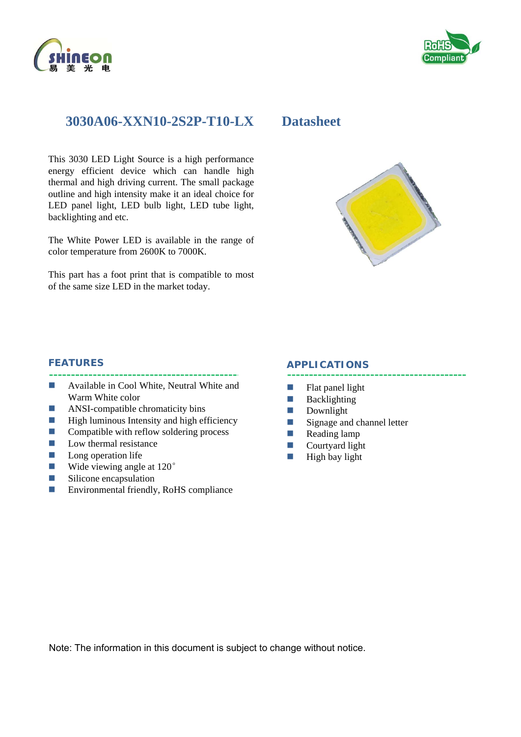



## **3030A06-XXN10-2S2P-T10-LX Datasheet**

This 3030 LED Light Source is a high performance energy efficient device which can handle high thermal and high driving current. The small package outline and high intensity make it an ideal choice for LED panel light, LED bulb light, LED tube light, backlighting and etc.

The White Power LED is available in the range of color temperature from 2600K to 7000K.

This part has a foot print that is compatible to most of the same size LED in the market today.



#### **FEATURES**

- **Available in Cool White, Neutral White and** Warm White color
- **ANSI-compatible chromaticity bins**
- $\blacksquare$  High luminous Intensity and high efficiency
- $\Box$  Compatible with reflow soldering process
- $\blacksquare$  Low thermal resistance
- $\Box$  Long operation life
- Wide viewing angle at  $120^{\circ}$
- **Silicone** encapsulation
- Environmental friendly, RoHS compliance

#### **APPLICATIONS**

- $\blacksquare$  Flat panel light
- **Backlighting**
- **Downlight**
- Signage and channel letter
- Reading lamp
- Courtyard light
- $\Box$  High bay light

Note: The information in this document is subject to change without notice.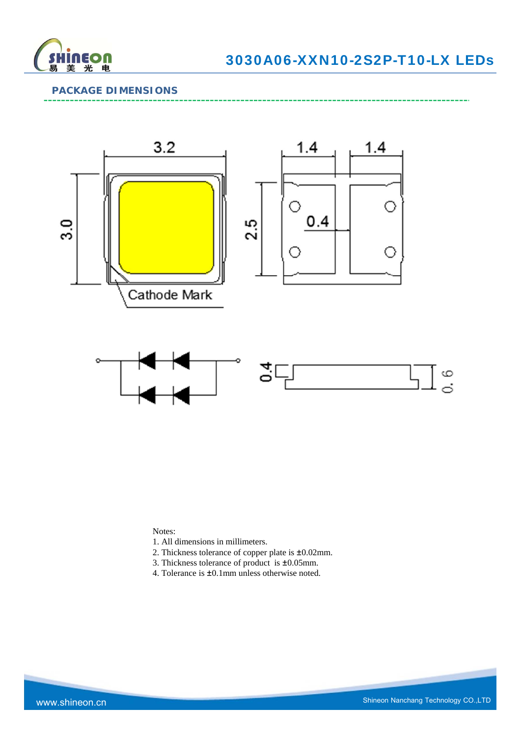

## **PACKAGE DIMENSIONS**



Notes:

- 1. All dimensions in millimeters.
- 2. Thickness tolerance of copper plate is ±0.02mm.
- 3. Thickness tolerance of product is ±0.05mm.
- 4. Tolerance is ±0.1mm unless otherwise noted.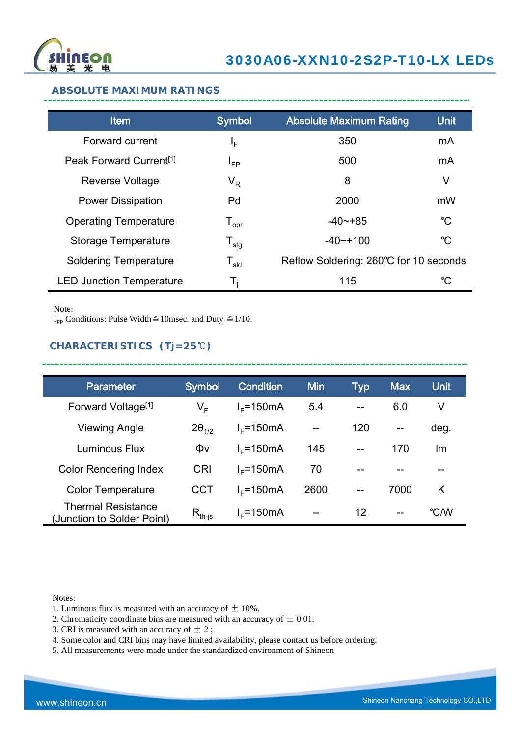

#### **ABSOLUTE MAXIMUM RATINGS**

| <b>Item</b>                         | <b>Symbol</b>                | <b>Absolute Maximum Rating</b>         | <b>Unit</b> |
|-------------------------------------|------------------------------|----------------------------------------|-------------|
| Forward current                     | ΙF                           | 350                                    | mA          |
| Peak Forward Current <sup>[1]</sup> | $I_{FP}$                     | 500                                    | mA          |
| <b>Reverse Voltage</b>              | $\mathsf{V}_\mathsf{R}$      | 8                                      | V           |
| <b>Power Dissipation</b>            | Pd                           | 2000                                   | mW          |
| <b>Operating Temperature</b>        | ${\mathsf T}_{\textsf{opr}}$ | $-40$ $-+85$                           | $^{\circ}C$ |
| <b>Storage Temperature</b>          | ${\mathsf T}_{\textsf{stg}}$ | $-40$ $-100$                           | $^{\circ}C$ |
| <b>Soldering Temperature</b>        | ${\mathsf T}_{\textsf{sld}}$ | Reflow Soldering: 260°C for 10 seconds |             |
| <b>LED Junction Temperature</b>     | Т,                           | 115                                    | °C          |

Note:

I<sub>FP</sub> Conditions: Pulse Width  $\leq$  10msec. and Duty  $\leq$  1/10.

## **CHARACTERISTICS (Tj=25**℃**)**

| <b>Parameter</b>                                        | <b>Symbol</b>                        | <b>Condition</b> | <b>Min</b> | Typ               | <b>Max</b>        | <b>Unit</b> |
|---------------------------------------------------------|--------------------------------------|------------------|------------|-------------------|-------------------|-------------|
| Forward Voltage <sup>[1]</sup>                          | V <sub>F</sub>                       | $I_F$ =150mA     | 5.4        | $-$               | 6.0               | V           |
| Viewing Angle                                           | $2\theta_{1/2}$                      | $I_F$ =150mA     | $- -$      | 120               | $\qquad \qquad -$ | deg.        |
| Luminous Flux                                           | Φv                                   | $I_F$ =150mA     | 145        | $-$               | 170               | Im          |
| <b>Color Rendering Index</b>                            | <b>CRI</b>                           | $I_F$ =150mA     | 70         |                   |                   |             |
| <b>Color Temperature</b>                                | <b>CCT</b>                           | $IE=150mA$       | 2600       | $\qquad \qquad -$ | 7000              | K           |
| <b>Thermal Resistance</b><br>(Junction to Solder Point) | $\mathsf{R}_{\mathsf{th\text{-}js}}$ | $I_F$ =150mA     | $- -$      | 12                | $\qquad \qquad -$ | °C/W        |

\_\_\_\_\_\_\_\_\_\_\_\_\_\_\_

Notes:

- 1. Luminous flux is measured with an accuracy of  $\pm$  10%.
- 2. Chromaticity coordinate bins are measured with an accuracy of  $\pm$  0.01.
- 3. CRI is measured with an accuracy of  $\pm$  2;
- 4. Some color and CRI bins may have limited availability, please contact us before ordering.
- 5. All measurements were made under the standardized environment of Shineon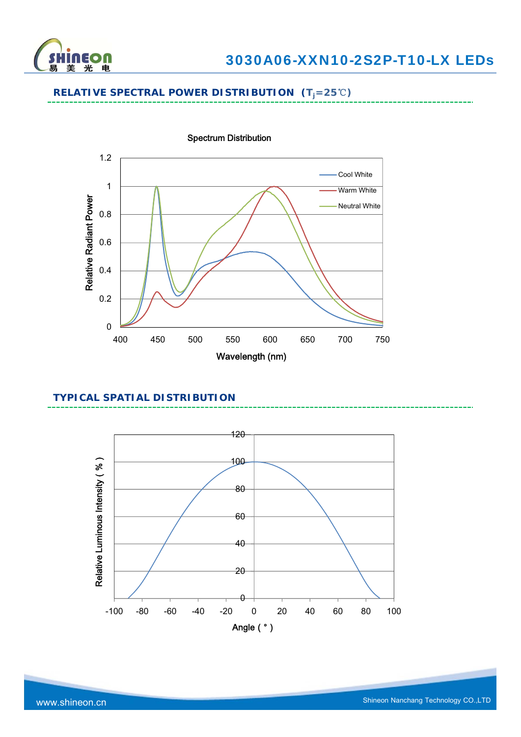

## **RELATIVE SPECTRAL POWER DISTRIBUTION (Tj=25**℃**)**



#### **TYPICAL SPATIAL DISTRIBUTION**

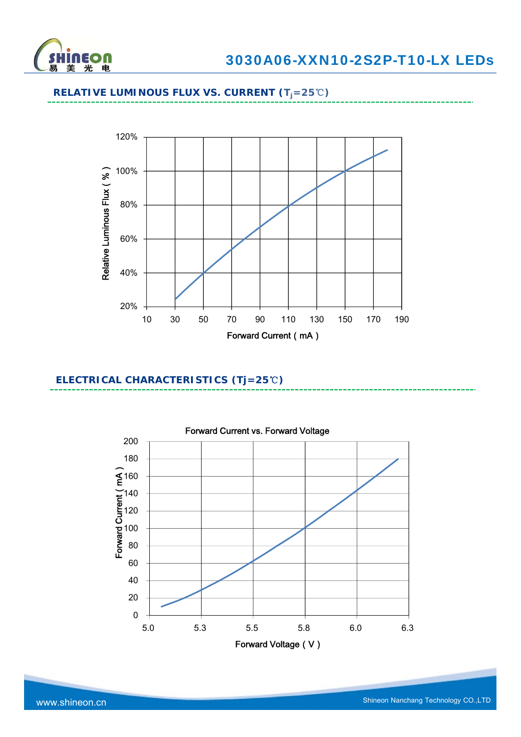

# **RELATIVE LUMINOUS FLUX VS. CURRENT (Tj=25**℃**)**



## **ELECTRICAL CHARACTERISTICS (Tj=25**℃**)**

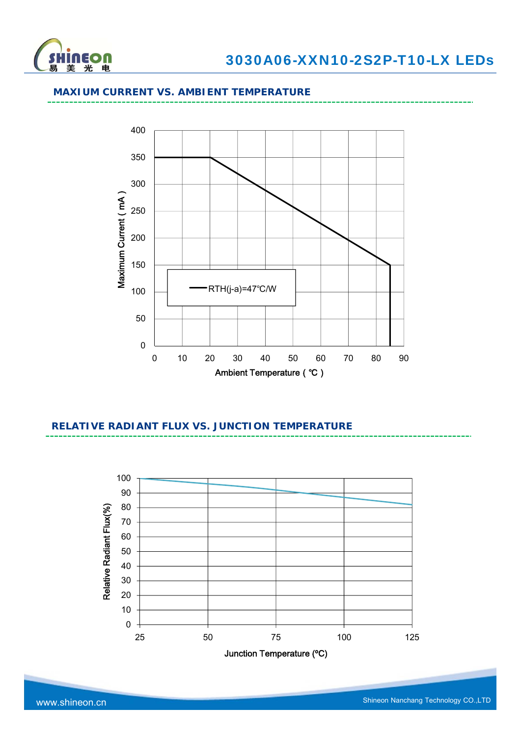

#### **MAXIUM CURRENT VS. AMBIENT TEMPERATURE**



## **RELATIVE RADIANT FLUX VS. JUNCTION TEMPERATURE**

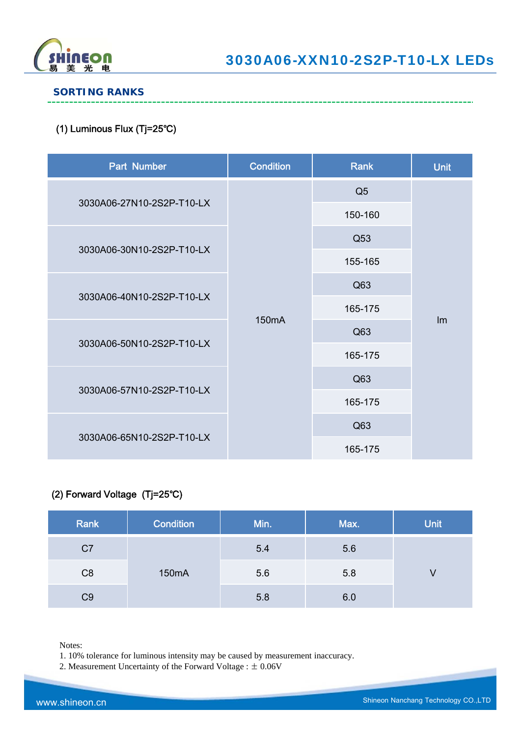

## **SORTING RANKS**

## (1) Luminous Flux (Tj=25℃)

| Part Number               | <b>Condition</b>   | Rank           | <b>Unit</b> |
|---------------------------|--------------------|----------------|-------------|
|                           |                    | Q <sub>5</sub> |             |
| 3030A06-27N10-2S2P-T10-LX |                    | 150-160        |             |
| 3030A06-30N10-2S2P-T10-LX |                    | Q53            |             |
|                           |                    | 155-165        |             |
|                           |                    | Q63            |             |
| 3030A06-40N10-2S2P-T10-LX |                    | 165-175        |             |
|                           | 150 <sub>m</sub> A | Q63            | Im          |
| 3030A06-50N10-2S2P-T10-LX |                    | 165-175        |             |
|                           |                    | Q63            |             |
| 3030A06-57N10-2S2P-T10-LX |                    | 165-175        |             |
|                           |                    | Q63            |             |
| 3030A06-65N10-2S2P-T10-LX |                    | 165-175        |             |

## (2) Forward Voltage (Tj=25℃)

| Rank           | Condition | Min. | Max. | <b>Unit</b> |
|----------------|-----------|------|------|-------------|
| C <sub>7</sub> |           | 5.4  | 5.6  |             |
| C <sub>8</sub> | 150mA     | 5.6  | 5.8  |             |
| C <sub>9</sub> |           | 5.8  | 6.0  |             |

Notes:

1. 10% tolerance for luminous intensity may be caused by measurement inaccuracy.

2. Measurement Uncertainty of the Forward Voltage : ± 0.06V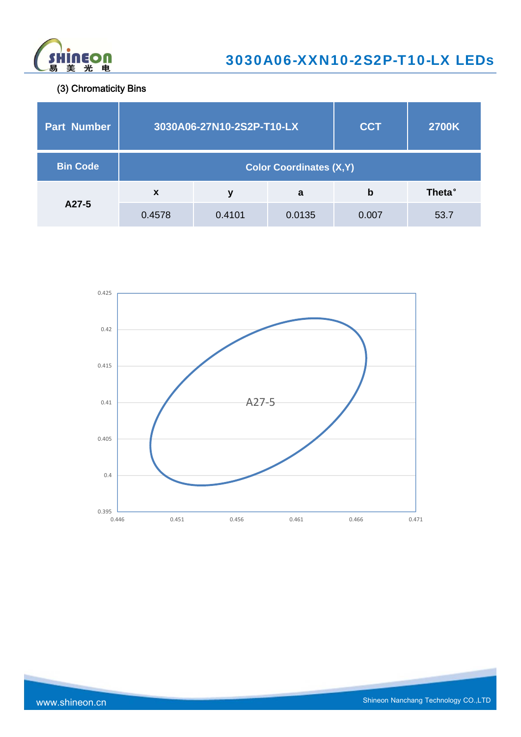

(3) Chromaticity Bins

| <b>Part Number</b> |        | 3030A06-27N10-2S2P-T10-LX       | <b>CCT</b> | <b>2700K</b> |                |  |  |
|--------------------|--------|---------------------------------|------------|--------------|----------------|--|--|
| <b>Bin Code</b>    |        | <b>Color Coordinates (X, Y)</b> |            |              |                |  |  |
|                    | X      | У                               | a          | b            | <b>Theta</b> ° |  |  |
| A27-5              | 0.4578 | 0.4101                          | 0.0135     | 0.007        | 53.7           |  |  |

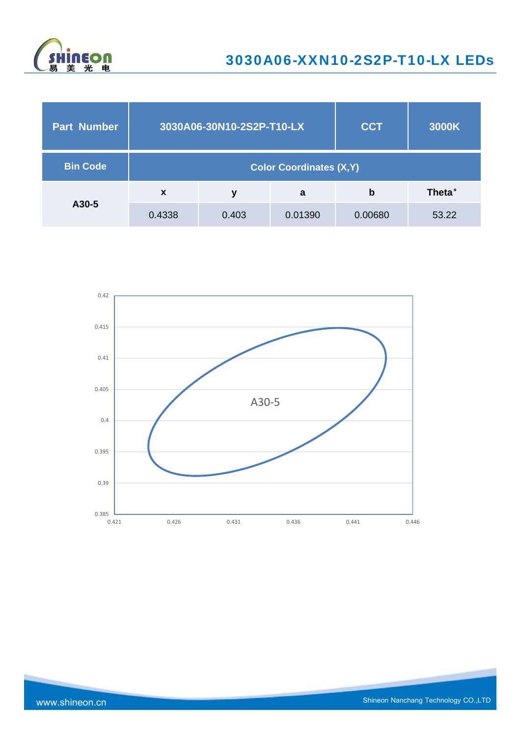

| <b>Part Number</b> |                           | 3030A06-30N10-2S2P-T10-LX       | <b>CCT</b> | 3000K   |                |  |  |
|--------------------|---------------------------|---------------------------------|------------|---------|----------------|--|--|
| <b>Bin Code</b>    |                           | <b>Color Coordinates (X, Y)</b> |            |         |                |  |  |
|                    | $\boldsymbol{\mathsf{x}}$ | у                               | a          | b       | <b>Theta</b> ° |  |  |
| A30-5              | 0.4338                    | 0.403                           | 0.01390    | 0.00680 | 53.22          |  |  |

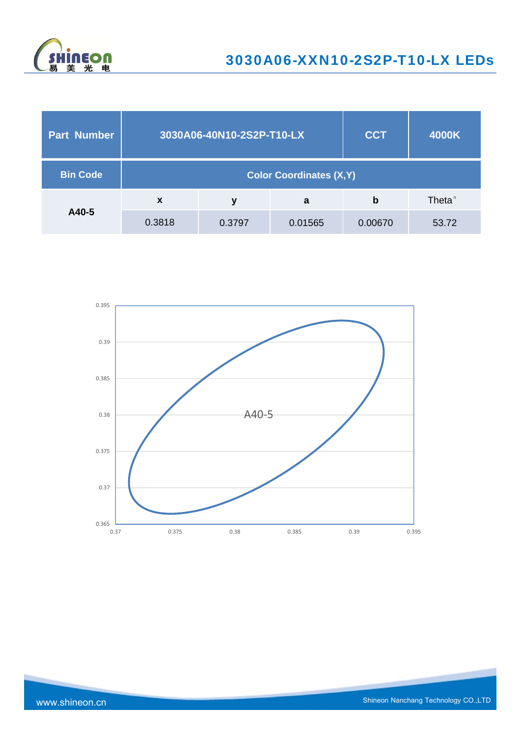

| Part Number     |                           | 3030A06-40N10-2S2P-T10-LX       | <b>CCT</b> | 4000K       |                    |  |  |
|-----------------|---------------------------|---------------------------------|------------|-------------|--------------------|--|--|
| <b>Bin Code</b> |                           | <b>Color Coordinates (X, Y)</b> |            |             |                    |  |  |
|                 | $\boldsymbol{\mathsf{x}}$ | у                               | a          | $\mathbf b$ | Theta <sup>®</sup> |  |  |
| A40-5           | 0.3818                    | 0.3797                          | 0.01565    | 0.00670     | 53.72              |  |  |

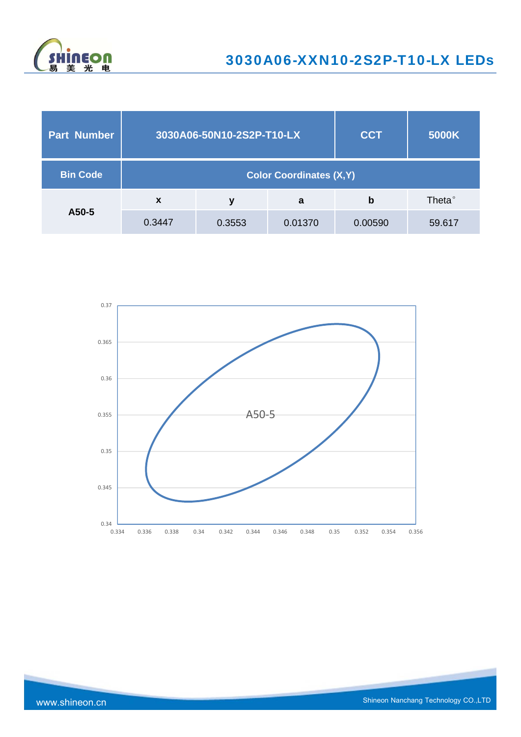

| <b>Part Number</b> |                                 | 3030A06-50N10-2S2P-T10-LX |         | <b>CCT</b> | 5000K              |  |
|--------------------|---------------------------------|---------------------------|---------|------------|--------------------|--|
| <b>Bin Code</b>    | <b>Color Coordinates (X, Y)</b> |                           |         |            |                    |  |
|                    | $\boldsymbol{x}$                | ۷                         | a       | b          | Theta <sup>°</sup> |  |
| A50-5              | 0.3447                          | 0.3553                    | 0.01370 | 0.00590    | 59.617             |  |

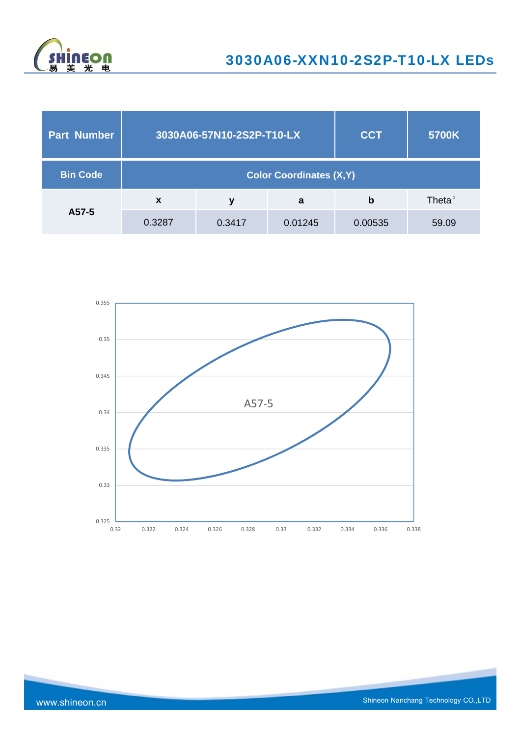

| <b>Part Number</b> |                                 | 3030A06-57N10-2S2P-T10-LX |         | <b>CCT</b> | 5700K              |  |
|--------------------|---------------------------------|---------------------------|---------|------------|--------------------|--|
| <b>Bin Code</b>    | <b>Color Coordinates (X, Y)</b> |                           |         |            |                    |  |
|                    | $\mathbf x$                     | ۷                         | a       | b          | Theta <sup>°</sup> |  |
| A57-5              | 0.3287                          | 0.3417                    | 0.01245 | 0.00535    | 59.09              |  |

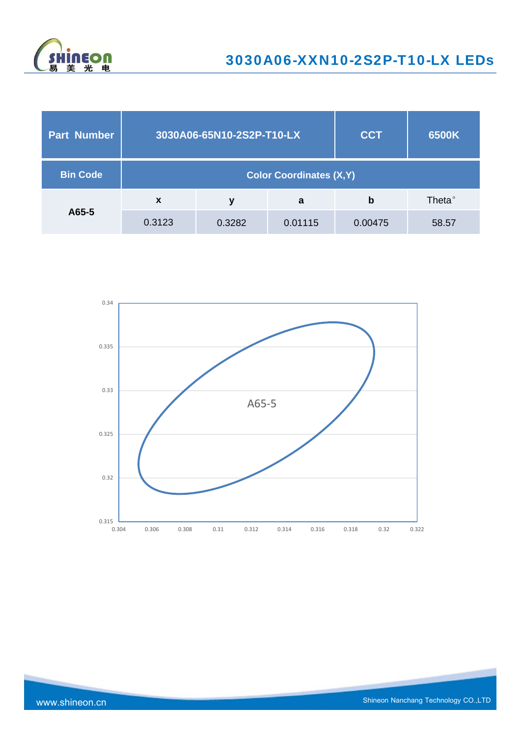

| <b>Part Number</b> |                                 | 3030A06-65N10-2S2P-T10-LX |         | <b>CCT</b> | 6500K              |  |
|--------------------|---------------------------------|---------------------------|---------|------------|--------------------|--|
| <b>Bin Code</b>    | <b>Color Coordinates (X, Y)</b> |                           |         |            |                    |  |
|                    | $\boldsymbol{\mathsf{x}}$       | У                         | a       | b          | Theta <sup>°</sup> |  |
| A65-5              | 0.3123                          | 0.3282                    | 0.01115 | 0.00475    | 58.57              |  |

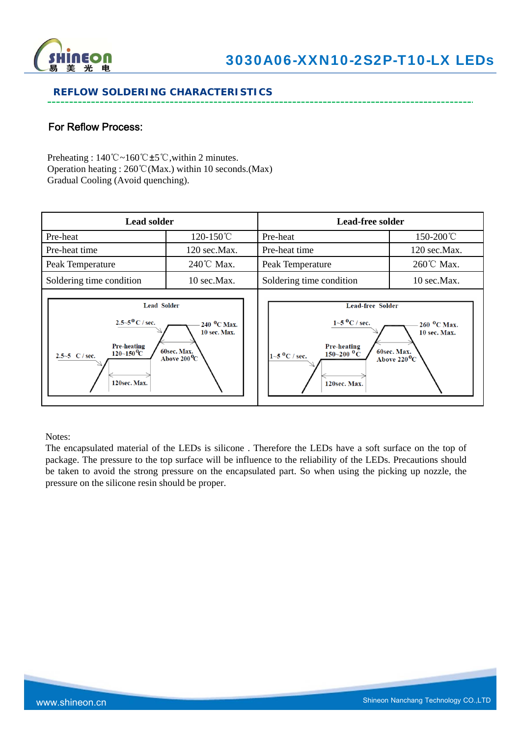

## **REFLOW SOLDERING CHARACTERISTICS**

## For Reflow Process:

Preheating : 140℃~160℃±5℃,within 2 minutes. Operation heating : 260℃(Max.) within 10 seconds.(Max) Gradual Cooling (Avoid quenching).

| <b>Lead solder</b>                                                                                                                                |                                                                                        | <b>Lead-free solder</b>                                                                                                                           |                                                                                   |  |
|---------------------------------------------------------------------------------------------------------------------------------------------------|----------------------------------------------------------------------------------------|---------------------------------------------------------------------------------------------------------------------------------------------------|-----------------------------------------------------------------------------------|--|
| Pre-heat                                                                                                                                          | 120-150℃                                                                               | Pre-heat                                                                                                                                          | 150-200℃                                                                          |  |
| Pre-heat time                                                                                                                                     | 120 sec.Max.                                                                           | Pre-heat time                                                                                                                                     | 120 sec.Max.                                                                      |  |
| Peak Temperature                                                                                                                                  | 240℃ Max.                                                                              | Peak Temperature                                                                                                                                  | 260℃ Max.                                                                         |  |
| Soldering time condition                                                                                                                          | 10 sec.Max.                                                                            | Soldering time condition                                                                                                                          | 10 sec.Max.                                                                       |  |
| <b>Lead Solder</b><br>$2.5 - 5^{0}$ C / sec.<br><b>Pre-heating</b><br>$120\text{--}150\text{\,}^0\mathrm{C}$<br>2.5~5 $C / sec$ .<br>120sec. Max. | 240 <sup>o</sup> C Max.<br><b>10 sec. Max.</b><br>60sec. Max.<br>Above $200^{\circ}$ C | <b>Lead-free Solder</b><br>$1 - 5$ <sup>0</sup> C / sec.<br><b>Pre-heating</b><br>$150 - 200$ °C<br>$1 - 5$ <sup>O</sup> C / sec.<br>120sec. Max. | $260$ <sup>O</sup> C Max.<br>10 sec. Max.<br>60sec. Max.<br>Above $220^{\circ}$ C |  |

Notes:

The encapsulated material of the LEDs is silicone . Therefore the LEDs have a soft surface on the top of package. The pressure to the top surface will be influence to the reliability of the LEDs. Precautions should be taken to avoid the strong pressure on the encapsulated part. So when using the picking up nozzle, the pressure on the silicone resin should be proper.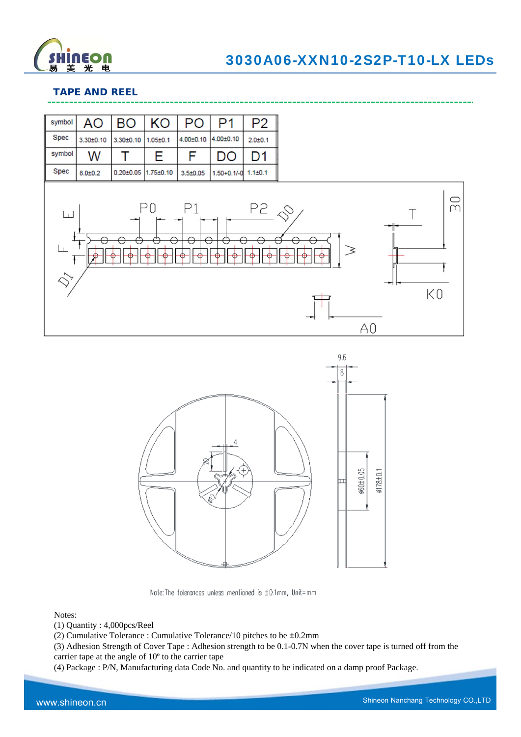

A<sub>0</sub>

## **TAPE AND REEL**

| symbol      | <b>AO</b>     | <b>BO</b>                    | <b>KO</b>      | PO              | P1                        | P <sub>2</sub> |  |
|-------------|---------------|------------------------------|----------------|-----------------|---------------------------|----------------|--|
| Spec        | $3.30 + 0.10$ | $3.30 + 0.10$                | $1.05 \pm 0.1$ | $4.00 \pm 0.10$ | $4.00 \pm 0.10$           | $2.0 + 0.1$    |  |
| symbol      | W             |                              | Е              | F               | DO                        | D1             |  |
| <b>Spec</b> | $8.0 + 0.2$   | $0.20\pm0.05$ 1.75 $\pm0.10$ |                | $3.5 + 0.05$    | $1.50+0.1/-0$ $1.1\pm0.1$ |                |  |
| لىنا        |               |                              |                | P1              |                           | $P2 \&$        |  |

 $\circ$  $\overline{\mathbb{Z}}$ K0



Note: The folerances unless mentioned is  $\pm 0.1$ mm, Unit=mm

#### Notes:

- (1) Quantity : 4,000pcs/Reel
- (2) Cumulative Tolerance : Cumulative Tolerance/10 pitches to be ±0.2mm

(3) Adhesion Strength of Cover Tape : Adhesion strength to be 0.1-0.7N when the cover tape is turned off from the carrier tape at the angle of 10º to the carrier tape

(4) Package : P/N, Manufacturing data Code No. and quantity to be indicated on a damp proof Package.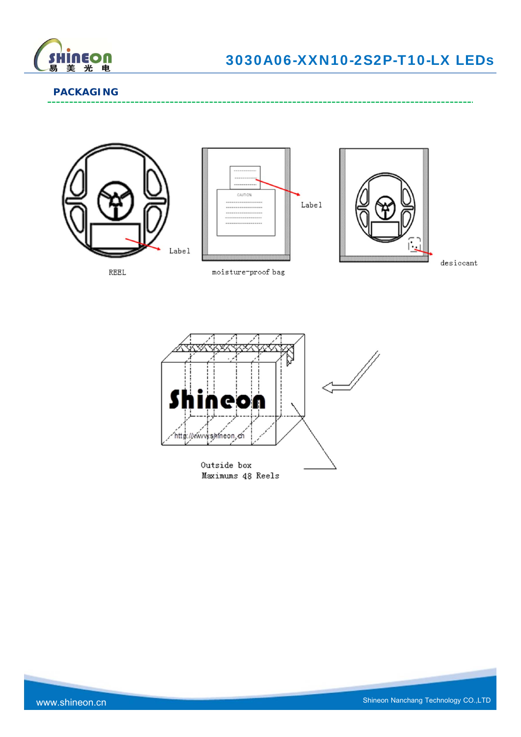

## **PACKAGING**







 $\mathtt{desiccant}$ 

وسامت

REEL

moisture-proof bag

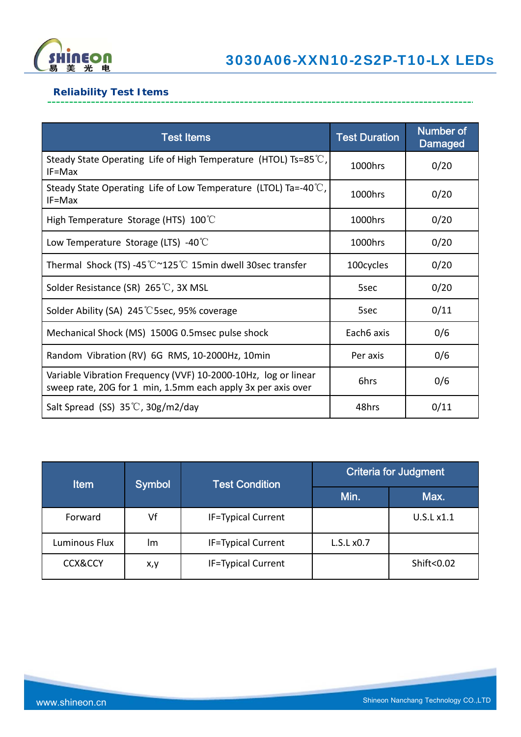

-------------------------------

## **Reliability Test Items**

| <b>Test Items</b>                                                                                                              | <b>Test Duration</b> | <b>Number of</b><br><b>Damaged</b> |
|--------------------------------------------------------------------------------------------------------------------------------|----------------------|------------------------------------|
| Steady State Operating Life of High Temperature (HTOL) Ts=85 °C,<br>$IF=Max$                                                   | 1000hrs              | 0/20                               |
| Steady State Operating Life of Low Temperature (LTOL) Ta=-40 $\degree$ C,<br>$IF=Max$                                          | 1000hrs              | 0/20                               |
| High Temperature Storage (HTS) $100^{\circ}$ C                                                                                 | 1000hrs              | 0/20                               |
| Low Temperature Storage (LTS) -40 $\degree$ C                                                                                  | 1000hrs              | 0/20                               |
| Thermal Shock (TS) -45 °C ~125 °C 15min dwell 30sec transfer                                                                   | 100cycles            | 0/20                               |
| Solder Resistance (SR) 265℃, 3X MSL                                                                                            | 5sec                 | 0/20                               |
| Solder Ability (SA) 245 °C 5sec, 95% coverage                                                                                  | 5sec                 | 0/11                               |
| Mechanical Shock (MS) 1500G 0.5msec pulse shock                                                                                | Each6 axis           | 0/6                                |
| Random Vibration (RV) 6G RMS, 10-2000Hz, 10min                                                                                 | Per axis             | 0/6                                |
| Variable Vibration Frequency (VVF) 10-2000-10Hz, log or linear<br>sweep rate, 20G for 1 min, 1.5mm each apply 3x per axis over | 6hrs                 | 0/6                                |
| Salt Spread (SS) $35^{\circ}$ C, $30g/m2$ /day                                                                                 | 48hrs                | 0/11                               |

| <b>Item</b>        | <b>Symbol</b> | <b>Test Condition</b>     | <b>Criteria for Judgment</b> |            |
|--------------------|---------------|---------------------------|------------------------------|------------|
|                    |               |                           | Min.                         | Max.       |
| Forward            | Vf            | <b>IF=Typical Current</b> |                              | U.S.L x1.1 |
| Luminous Flux      | Im            | <b>IF=Typical Current</b> | L.S.Lx0.7                    |            |
| <b>CCX&amp;CCY</b> | x,y           | <b>IF=Typical Current</b> |                              | Shift<0.02 |